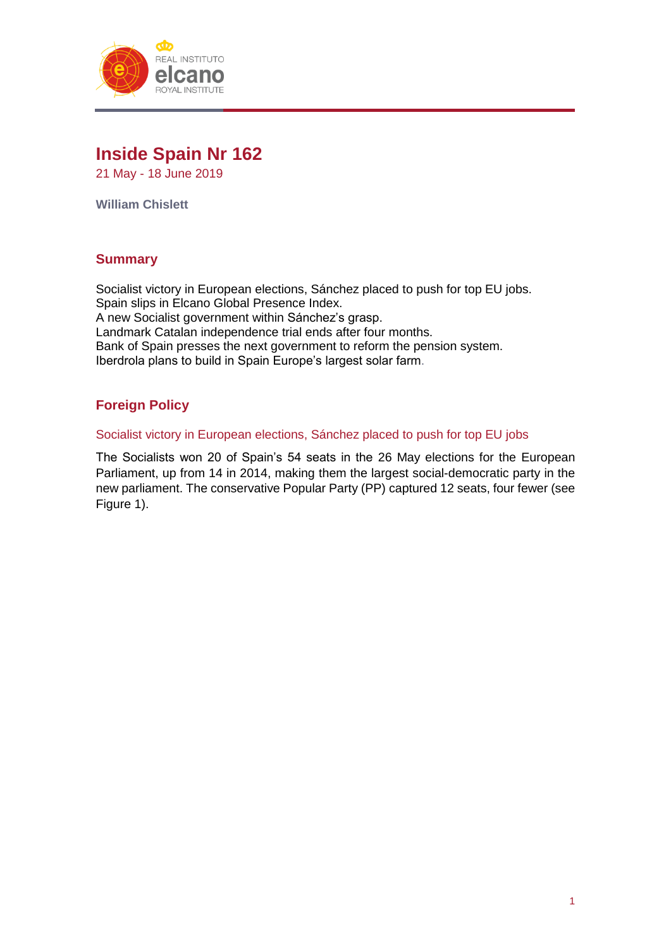

# **Inside Spain Nr 162**

21 May - 18 June 2019

**William Chislett**

# **Summary**

Socialist victory in European elections, Sánchez placed to push for top EU jobs. Spain slips in Elcano Global Presence Index. A new Socialist government within Sánchez's grasp. Landmark Catalan independence trial ends after four months. Bank of Spain presses the next government to reform the pension system. Iberdrola plans to build in Spain Europe's largest solar farm.

# **Foreign Policy**

#### Socialist victory in European elections, Sánchez placed to push for top EU jobs

The Socialists won 20 of Spain's 54 seats in the 26 May elections for the European Parliament, up from 14 in 2014, making them the largest social-democratic party in the new parliament. The conservative Popular Party (PP) captured 12 seats, four fewer (see Figure 1).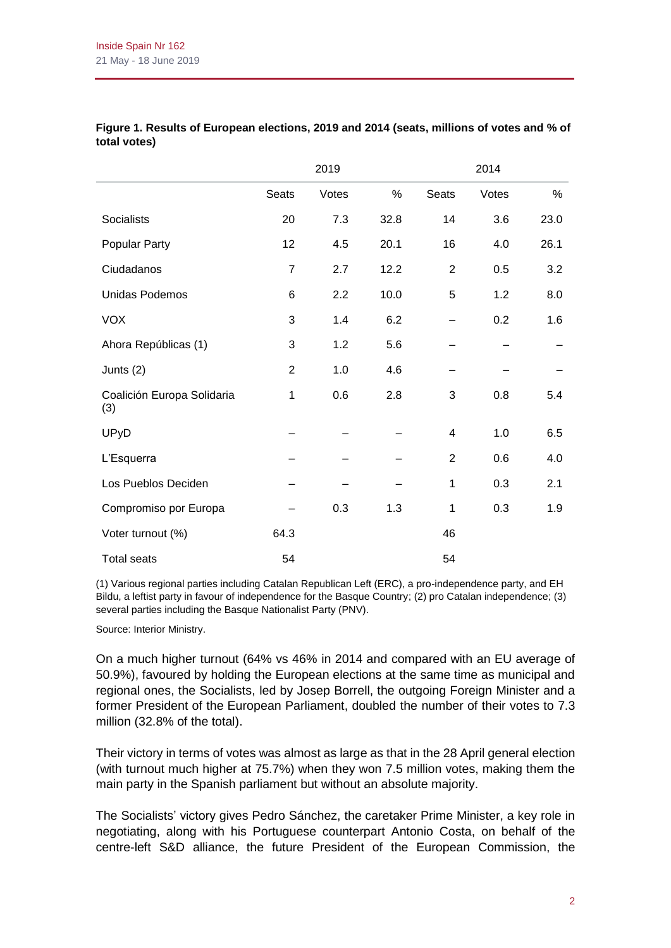|                                   |                | 2019  |      |                | 2014  |      |
|-----------------------------------|----------------|-------|------|----------------|-------|------|
|                                   | Seats          | Votes | $\%$ | <b>Seats</b>   | Votes | $\%$ |
| Socialists                        | 20             | 7.3   | 32.8 | 14             | 3.6   | 23.0 |
| Popular Party                     | 12             | 4.5   | 20.1 | 16             | 4.0   | 26.1 |
| Ciudadanos                        | 7              | 2.7   | 12.2 | $\overline{2}$ | 0.5   | 3.2  |
| <b>Unidas Podemos</b>             | 6              | 2.2   | 10.0 | 5              | 1.2   | 8.0  |
| <b>VOX</b>                        | 3              | 1.4   | 6.2  |                | 0.2   | 1.6  |
| Ahora Repúblicas (1)              | 3              | 1.2   | 5.6  |                |       |      |
| Junts $(2)$                       | $\overline{2}$ | 1.0   | 4.6  |                |       |      |
| Coalición Europa Solidaria<br>(3) | $\mathbf 1$    | 0.6   | 2.8  | 3              | 0.8   | 5.4  |
| <b>UPyD</b>                       |                |       |      | 4              | 1.0   | 6.5  |
| L'Esquerra                        |                |       |      | $\overline{2}$ | 0.6   | 4.0  |
| Los Pueblos Deciden               |                |       |      | 1              | 0.3   | 2.1  |
| Compromiso por Europa             |                | 0.3   | 1.3  | 1              | 0.3   | 1.9  |
| Voter turnout (%)                 | 64.3           |       |      | 46             |       |      |
| <b>Total seats</b>                | 54             |       |      | 54             |       |      |

#### **Figure 1. Results of European elections, 2019 and 2014 (seats, millions of votes and % of total votes)**

(1) Various regional parties including Catalan Republican Left (ERC), a pro-independence party, and EH Bildu, a leftist party in favour of independence for the Basque Country; (2) pro Catalan independence; (3) several parties including the Basque Nationalist Party (PNV).

Source: Interior Ministry.

On a much higher turnout (64% vs 46% in 2014 and compared with an EU average of 50.9%), favoured by holding the European elections at the same time as municipal and regional ones, the Socialists, led by Josep Borrell, the outgoing Foreign Minister and a former President of the European Parliament, doubled the number of their votes to 7.3 million (32.8% of the total).

Their victory in terms of votes was almost as large as that in the 28 April general election (with turnout much higher at 75.7%) when they won 7.5 million votes, making them the main party in the Spanish parliament but without an absolute majority.

The Socialists' victory gives Pedro Sánchez, the caretaker Prime Minister, a key role in negotiating, along with his Portuguese counterpart Antonio Costa, on behalf of the centre-left S&D alliance, the future President of the European Commission, the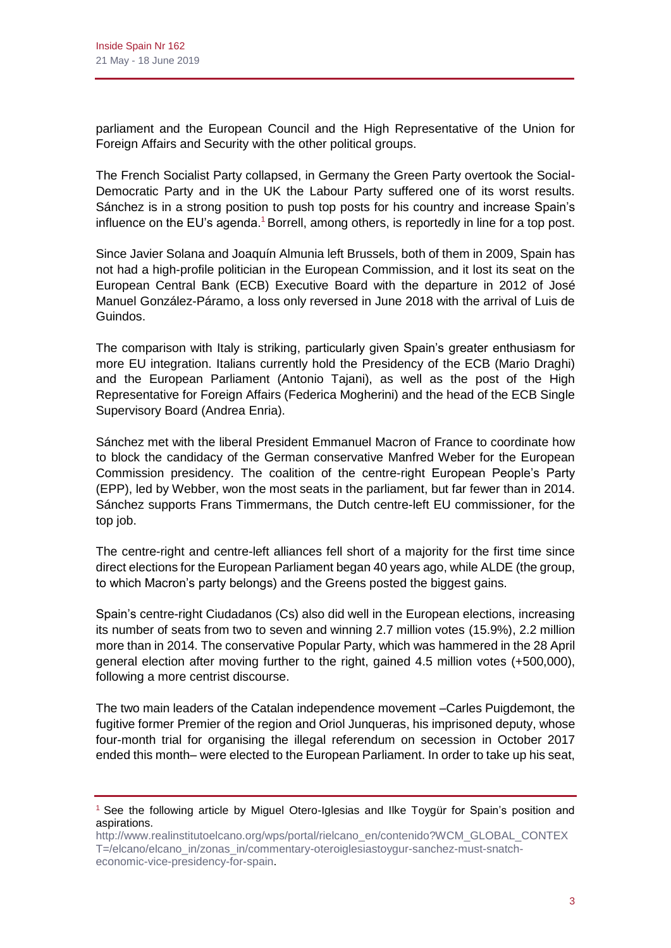parliament and the European Council and the High Representative of the Union for Foreign Affairs and Security with the other political groups.

The French Socialist Party collapsed, in Germany the Green Party overtook the Social-Democratic Party and in the UK the Labour Party suffered one of its worst results. Sánchez is in a strong position to push top posts for his country and increase Spain's influence on the EU's agenda.<sup>1</sup> Borrell, among others, is reportedly in line for a top post.

Since Javier Solana and Joaquín Almunia left Brussels, both of them in 2009, Spain has not had a high-profile politician in the European Commission, and it lost its seat on the European Central Bank (ECB) Executive Board with the departure in 2012 of José Manuel González-Páramo, a loss only reversed in June 2018 with the arrival of Luis de Guindos.

The comparison with Italy is striking, particularly given Spain's greater enthusiasm for more EU integration. Italians currently hold the Presidency of the ECB (Mario Draghi) and the European Parliament (Antonio Tajani), as well as the post of the High Representative for Foreign Affairs (Federica Mogherini) and the head of the ECB Single Supervisory Board (Andrea Enria).

Sánchez met with the liberal President Emmanuel Macron of France to coordinate how to block the candidacy of the German conservative Manfred Weber for the European Commission presidency. The coalition of the centre-right European People's Party (EPP), led by Webber, won the most seats in the parliament, but far fewer than in 2014. Sánchez supports Frans Timmermans, the Dutch centre-left EU commissioner, for the top job.

The centre-right and centre-left alliances fell short of a majority for the first time since direct elections for the European Parliament began 40 years ago, while ALDE (the group, to which Macron's party belongs) and the Greens posted the biggest gains.

Spain's centre-right Ciudadanos (Cs) also did well in the European elections, increasing its number of seats from two to seven and winning 2.7 million votes (15.9%), 2.2 million more than in 2014. The conservative Popular Party, which was hammered in the 28 April general election after moving further to the right, gained 4.5 million votes (+500,000), following a more centrist discourse.

The two main leaders of the Catalan independence movement –Carles Puigdemont, the fugitive former Premier of the region and Oriol Junqueras, his imprisoned deputy, whose four-month trial for organising the illegal referendum on secession in October 2017 ended this month– were elected to the European Parliament. In order to take up his seat,

<sup>&</sup>lt;sup>1</sup> See the following article by Miguel Otero-Iglesias and Ilke Toygür for Spain's position and aspirations.

[http://www.realinstitutoelcano.org/wps/portal/rielcano\\_en/contenido?WCM\\_GLOBAL\\_CONTEX](http://www.realinstitutoelcano.org/wps/portal/rielcano_en/contenido?WCM_GLOBAL_CONTEXT=/elcano/elcano_in/zonas_in/commentary-oteroiglesiastoygur-sanchez-must-snatch-economic-vice-presidency-for-spain) [T=/elcano/elcano\\_in/zonas\\_in/commentary-oteroiglesiastoygur-sanchez-must-snatch](http://www.realinstitutoelcano.org/wps/portal/rielcano_en/contenido?WCM_GLOBAL_CONTEXT=/elcano/elcano_in/zonas_in/commentary-oteroiglesiastoygur-sanchez-must-snatch-economic-vice-presidency-for-spain)[economic-vice-presidency-for-spain.](http://www.realinstitutoelcano.org/wps/portal/rielcano_en/contenido?WCM_GLOBAL_CONTEXT=/elcano/elcano_in/zonas_in/commentary-oteroiglesiastoygur-sanchez-must-snatch-economic-vice-presidency-for-spain)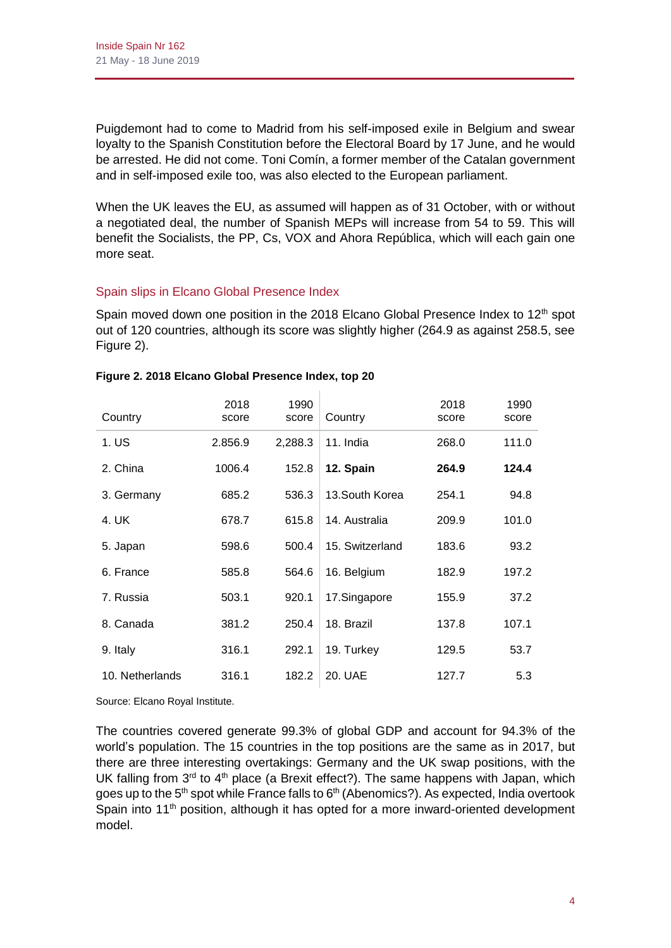Puigdemont had to come to Madrid from his self-imposed exile in Belgium and swear loyalty to the Spanish Constitution before the Electoral Board by 17 June, and he would be arrested. He did not come. Toni Comín, a former member of the Catalan government and in self-imposed exile too, was also elected to the European parliament.

When the UK leaves the EU, as assumed will happen as of 31 October, with or without a negotiated deal, the number of Spanish MEPs will increase from 54 to 59. This will benefit the Socialists, the PP, Cs, VOX and Ahora República, which will each gain one more seat.

# Spain slips in Elcano Global Presence Index

Spain moved down one position in the 2018 Elcano Global Presence Index to 12<sup>th</sup> spot out of 120 countries, although its score was slightly higher (264.9 as against 258.5, see Figure 2).

| Country         | 2018<br>score | 1990<br>score | Country         | 2018<br>score | 1990<br>score |
|-----------------|---------------|---------------|-----------------|---------------|---------------|
| 1. US           | 2.856.9       | 2,288.3       | 11. India       | 268.0         | 111.0         |
| 2. China        | 1006.4        | 152.8         | 12. Spain       | 264.9         | 124.4         |
| 3. Germany      | 685.2         | 536.3         | 13. South Korea | 254.1         | 94.8          |
| 4. UK           | 678.7         | 615.8         | 14. Australia   | 209.9         | 101.0         |
| 5. Japan        | 598.6         | 500.4         | 15. Switzerland | 183.6         | 93.2          |
| 6. France       | 585.8         | 564.6         | 16. Belgium     | 182.9         | 197.2         |
| 7. Russia       | 503.1         | 920.1         | 17.Singapore    | 155.9         | 37.2          |
| 8. Canada       | 381.2         | 250.4         | 18. Brazil      | 137.8         | 107.1         |
| 9. Italy        | 316.1         | 292.1         | 19. Turkey      | 129.5         | 53.7          |
| 10. Netherlands | 316.1         | 182.2         | 20. UAE         | 127.7         | 5.3           |

# **Figure 2. 2018 Elcano Global Presence Index, top 20**

Source: Elcano Royal Institute.

The countries covered generate 99.3% of global GDP and account for 94.3% of the world's population. The 15 countries in the top positions are the same as in 2017, but there are three interesting overtakings: Germany and the UK swap positions, with the UK falling from  $3<sup>rd</sup>$  to  $4<sup>th</sup>$  place (a Brexit effect?). The same happens with Japan, which goes up to the 5<sup>th</sup> spot while France falls to 6<sup>th</sup> (Abenomics?). As expected, India overtook Spain into  $11<sup>th</sup>$  position, although it has opted for a more inward-oriented development model.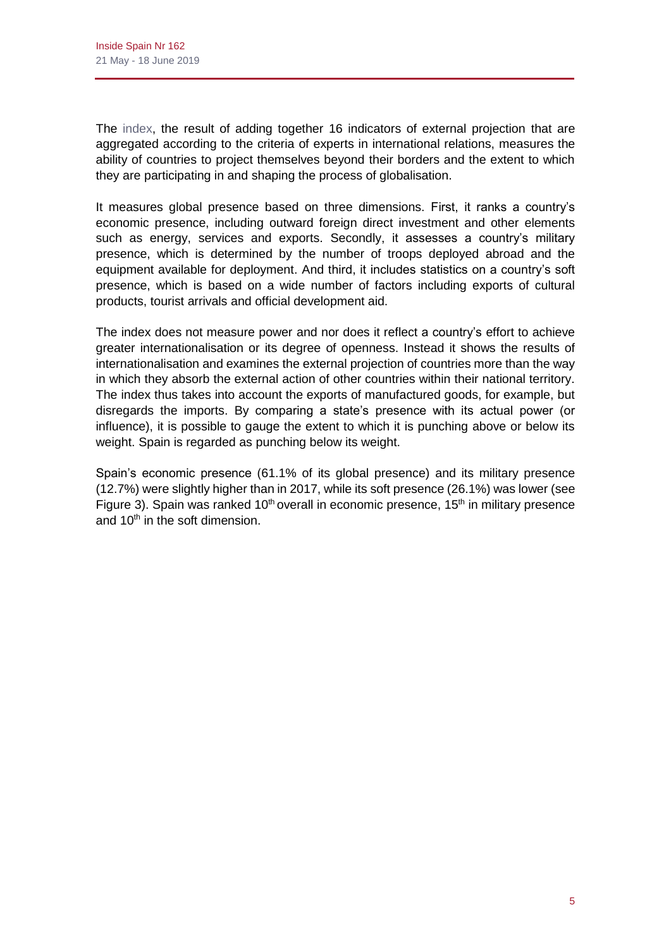The [index,](https://explora.globalpresence.realinstitutoelcano.org/en/ranking/iepg/global/2017/2012/null/null/0) the result of adding together 16 indicators of external projection that are aggregated according to the criteria of experts in international relations, measures the ability of countries to project themselves beyond their borders and the extent to which they are participating in and shaping the process of globalisation.

It measures global presence based on three dimensions. First, it ranks a country's economic presence, including outward foreign direct investment and other elements such as energy, services and exports. Secondly, it assesses a country's military presence, which is determined by the number of troops deployed abroad and the equipment available for deployment. And third, it includes statistics on a country's soft presence, which is based on a wide number of factors including exports of cultural products, tourist arrivals and official development aid.

The index does not measure power and nor does it reflect a country's effort to achieve greater internationalisation or its degree of openness. Instead it shows the results of internationalisation and examines the external projection of countries more than the way in which they absorb the external action of other countries within their national territory. The index thus takes into account the exports of manufactured goods, for example, but disregards the imports. By comparing a state's presence with its actual power (or influence), it is possible to gauge the extent to which it is punching above or below its weight. Spain is regarded as punching below its weight.

Spain's economic presence (61.1% of its global presence) and its military presence (12.7%) were slightly higher than in 2017, while its soft presence (26.1%) was lower (see Figure 3). Spain was ranked  $10<sup>th</sup>$  overall in economic presence,  $15<sup>th</sup>$  in military presence and 10<sup>th</sup> in the soft dimension.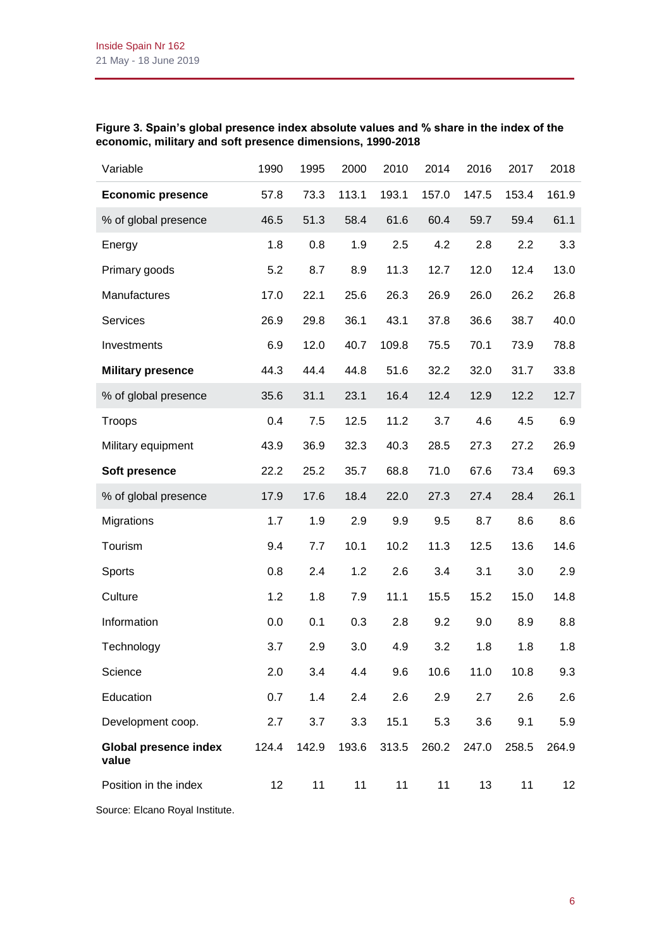# **Figure 3. Spain's global presence index absolute values and % share in the index of the economic, military and soft presence dimensions, 1990-2018**

| Variable                              | 1990  | 1995  | 2000  | 2010  | 2014  | 2016  | 2017  | 2018            |
|---------------------------------------|-------|-------|-------|-------|-------|-------|-------|-----------------|
| <b>Economic presence</b>              | 57.8  | 73.3  | 113.1 | 193.1 | 157.0 | 147.5 | 153.4 | 161.9           |
| % of global presence                  | 46.5  | 51.3  | 58.4  | 61.6  | 60.4  | 59.7  | 59.4  | 61.1            |
| Energy                                | 1.8   | 0.8   | 1.9   | 2.5   | 4.2   | 2.8   | 2.2   | 3.3             |
| Primary goods                         | 5.2   | 8.7   | 8.9   | 11.3  | 12.7  | 12.0  | 12.4  | 13.0            |
| Manufactures                          | 17.0  | 22.1  | 25.6  | 26.3  | 26.9  | 26.0  | 26.2  | 26.8            |
| Services                              | 26.9  | 29.8  | 36.1  | 43.1  | 37.8  | 36.6  | 38.7  | 40.0            |
| Investments                           | 6.9   | 12.0  | 40.7  | 109.8 | 75.5  | 70.1  | 73.9  | 78.8            |
| <b>Military presence</b>              | 44.3  | 44.4  | 44.8  | 51.6  | 32.2  | 32.0  | 31.7  | 33.8            |
| % of global presence                  | 35.6  | 31.1  | 23.1  | 16.4  | 12.4  | 12.9  | 12.2  | 12.7            |
| Troops                                | 0.4   | 7.5   | 12.5  | 11.2  | 3.7   | 4.6   | 4.5   | 6.9             |
| Military equipment                    | 43.9  | 36.9  | 32.3  | 40.3  | 28.5  | 27.3  | 27.2  | 26.9            |
| Soft presence                         | 22.2  | 25.2  | 35.7  | 68.8  | 71.0  | 67.6  | 73.4  | 69.3            |
| % of global presence                  | 17.9  | 17.6  | 18.4  | 22.0  | 27.3  | 27.4  | 28.4  | 26.1            |
| Migrations                            | 1.7   | 1.9   | 2.9   | 9.9   | 9.5   | 8.7   | 8.6   | 8.6             |
| Tourism                               | 9.4   | 7.7   | 10.1  | 10.2  | 11.3  | 12.5  | 13.6  | 14.6            |
| Sports                                | 0.8   | 2.4   | 1.2   | 2.6   | 3.4   | 3.1   | 3.0   | 2.9             |
| Culture                               | 1.2   | 1.8   | 7.9   | 11.1  | 15.5  | 15.2  | 15.0  | 14.8            |
| Information                           | 0.0   | 0.1   | 0.3   | 2.8   | 9.2   | 9.0   | 8.9   | 8.8             |
| Technology                            | 3.7   | 2.9   | 3.0   | 4.9   | 3.2   | 1.8   | 1.8   | 1.8             |
| Science                               | 2.0   | 3.4   | 4.4   | 9.6   | 10.6  | 11.0  | 10.8  | 9.3             |
| Education                             | 0.7   | 1.4   | 2.4   | 2.6   | 2.9   | 2.7   | 2.6   | 2.6             |
| Development coop.                     | 2.7   | 3.7   | 3.3   | 15.1  | 5.3   | 3.6   | 9.1   | 5.9             |
| <b>Global presence index</b><br>value | 124.4 | 142.9 | 193.6 | 313.5 | 260.2 | 247.0 | 258.5 | 264.9           |
| Position in the index                 | 12    | 11    | 11    | 11    | 11    | 13    | 11    | 12 <sub>2</sub> |
|                                       |       |       |       |       |       |       |       |                 |

Source: Elcano Royal Institute.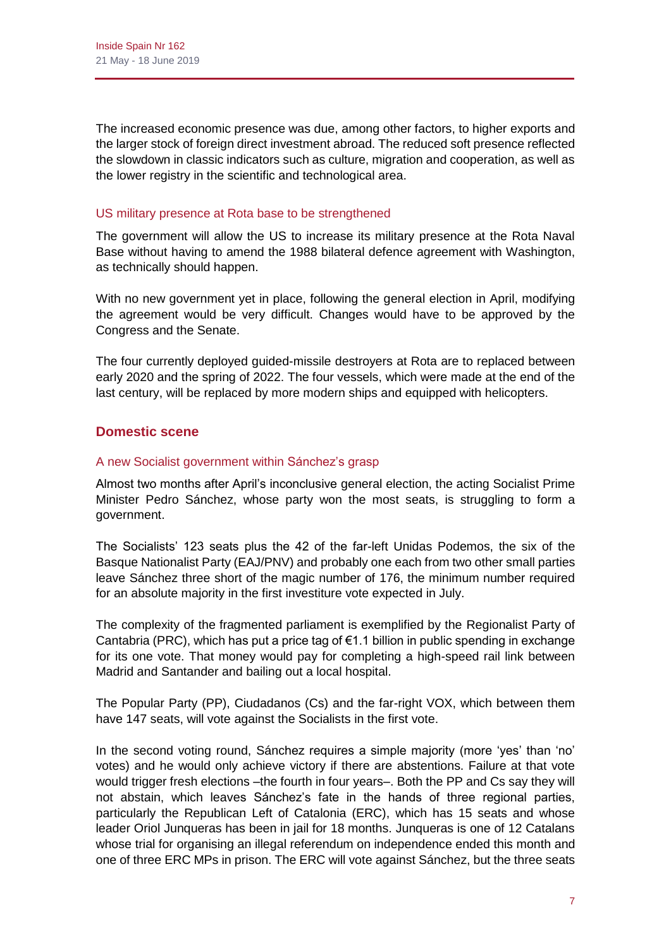The increased economic presence was due, among other factors, to higher exports and the larger stock of foreign direct investment abroad. The reduced soft presence reflected the slowdown in classic indicators such as culture, migration and cooperation, as well as the lower registry in the scientific and technological area.

## US military presence at Rota base to be strengthened

The government will allow the US to increase its military presence at the Rota Naval Base without having to amend the 1988 bilateral defence agreement with Washington, as technically should happen.

With no new government yet in place, following the general election in April, modifying the agreement would be very difficult. Changes would have to be approved by the Congress and the Senate.

The four currently deployed guided-missile destroyers at Rota are to replaced between early 2020 and the spring of 2022. The four vessels, which were made at the end of the last century, will be replaced by more modern ships and equipped with helicopters.

# **Domestic scene**

# A new Socialist government within Sánchez's grasp

Almost two months after April's inconclusive general election, the acting Socialist Prime Minister Pedro Sánchez, whose party won the most seats, is struggling to form a government.

The Socialists' 123 seats plus the 42 of the far-left Unidas Podemos, the six of the Basque Nationalist Party (EAJ/PNV) and probably one each from two other small parties leave Sánchez three short of the magic number of 176, the minimum number required for an absolute majority in the first investiture vote expected in July.

The complexity of the fragmented parliament is exemplified by the Regionalist Party of Cantabria (PRC), which has put a price tag of €1.1 billion in public spending in exchange for its one vote. That money would pay for completing a high-speed rail link between Madrid and Santander and bailing out a local hospital.

The Popular Party (PP), Ciudadanos (Cs) and the far-right VOX, which between them have 147 seats, will vote against the Socialists in the first vote.

In the second voting round, Sánchez requires a simple majority (more 'yes' than 'no' votes) and he would only achieve victory if there are abstentions. Failure at that vote would trigger fresh elections –the fourth in four years–. Both the PP and Cs say they will not abstain, which leaves Sánchez's fate in the hands of three regional parties, particularly the Republican Left of Catalonia (ERC), which has 15 seats and whose leader Oriol Junqueras has been in jail for 18 months. Junqueras is one of 12 Catalans whose trial for organising an illegal referendum on independence ended this month and one of three ERC MPs in prison. The ERC will vote against Sánchez, but the three seats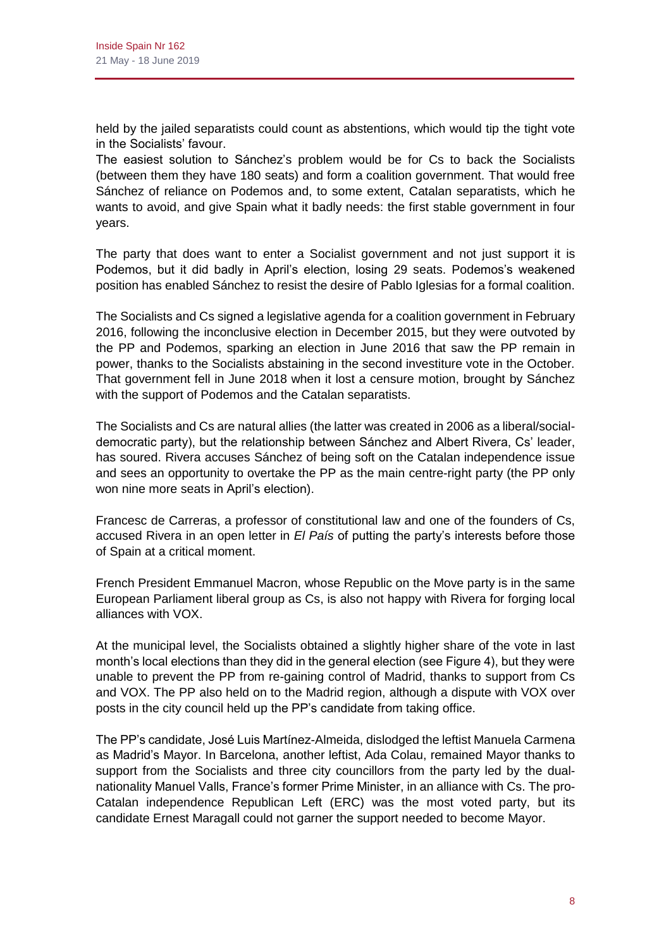held by the jailed separatists could count as abstentions, which would tip the tight vote in the Socialists' favour.

The easiest solution to Sánchez's problem would be for Cs to back the Socialists (between them they have 180 seats) and form a coalition government. That would free Sánchez of reliance on Podemos and, to some extent, Catalan separatists, which he wants to avoid, and give Spain what it badly needs: the first stable government in four years.

The party that does want to enter a Socialist government and not just support it is Podemos, but it did badly in April's election, losing 29 seats. Podemos's weakened position has enabled Sánchez to resist the desire of Pablo Iglesias for a formal coalition.

The Socialists and Cs signed a legislative agenda for a coalition government in February 2016, following the inconclusive election in December 2015, but they were outvoted by the PP and Podemos, sparking an election in June 2016 that saw the PP remain in power, thanks to the Socialists abstaining in the second investiture vote in the October. That government fell in June 2018 when it lost a censure motion, brought by Sánchez with the support of Podemos and the Catalan separatists.

The Socialists and Cs are natural allies (the latter was created in 2006 as a liberal/socialdemocratic party), but the relationship between Sánchez and Albert Rivera, Cs' leader, has soured. Rivera accuses Sánchez of being soft on the Catalan independence issue and sees an opportunity to overtake the PP as the main centre-right party (the PP only won nine more seats in April's election).

Francesc de Carreras, a professor of constitutional law and one of the founders of Cs, accused Rivera in an open letter in *El País* of putting the party's interests before those of Spain at a critical moment.

French President Emmanuel Macron, whose Republic on the Move party is in the same European Parliament liberal group as Cs, is also not happy with Rivera for forging local alliances with VOX.

At the municipal level, the Socialists obtained a slightly higher share of the vote in last month's local elections than they did in the general election (see Figure 4), but they were unable to prevent the PP from re-gaining control of Madrid, thanks to support from Cs and VOX. The PP also held on to the Madrid region, although a dispute with VOX over posts in the city council held up the PP's candidate from taking office.

The PP's candidate, José Luis Martínez-Almeida, dislodged the leftist Manuela Carmena as Madrid's Mayor. In Barcelona, another leftist, Ada Colau, remained Mayor thanks to support from the Socialists and three city councillors from the party led by the dualnationality Manuel Valls, France's former Prime Minister, in an alliance with Cs. The pro-Catalan independence Republican Left (ERC) was the most voted party, but its candidate Ernest Maragall could not garner the support needed to become Mayor.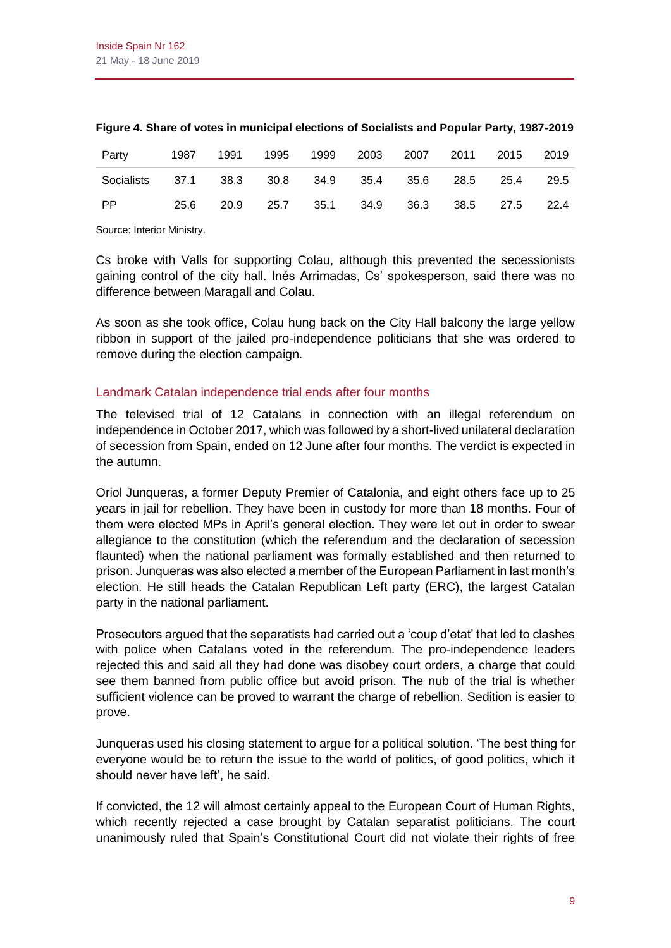| Party                                                   | 1987 | 1991 | 1995 | 1999 2003 2007 2011 2015 2019           |  |  |
|---------------------------------------------------------|------|------|------|-----------------------------------------|--|--|
| Socialists 37.1 38.3 30.8 34.9 35.4 35.6 28.5 25.4 29.5 |      |      |      |                                         |  |  |
| <b>PP</b>                                               | 25.6 |      |      | 20.9 25.7 35.1 34.9 36.3 38.5 27.5 22.4 |  |  |

#### **Figure 4. Share of votes in municipal elections of Socialists and Popular Party, 1987-2019**

Source: Interior Ministry.

Cs broke with Valls for supporting Colau, although this prevented the secessionists gaining control of the city hall. Inés Arrimadas, Cs' spokesperson, said there was no difference between Maragall and Colau.

As soon as she took office, Colau hung back on the City Hall balcony the large yellow ribbon in support of the jailed pro-independence politicians that she was ordered to remove during the election campaign.

#### Landmark Catalan independence trial ends after four months

The televised trial of 12 Catalans in connection with an illegal referendum on independence in October 2017, which was followed by a short-lived unilateral declaration of secession from Spain, ended on 12 June after four months. The verdict is expected in the autumn.

Oriol Junqueras, a former Deputy Premier of Catalonia, and eight others face up to 25 years in jail for rebellion. They have been in custody for more than 18 months. Four of them were elected MPs in April's general election. They were let out in order to swear allegiance to the constitution (which the referendum and the declaration of secession flaunted) when the national parliament was formally established and then returned to prison. Junqueras was also elected a member of the European Parliament in last month's election. He still heads the Catalan Republican Left party (ERC), the largest Catalan party in the national parliament.

Prosecutors argued that the separatists had carried out a 'coup d'etat' that led to clashes with police when Catalans voted in the referendum. The pro-independence leaders rejected this and said all they had done was disobey court orders, a charge that could see them banned from public office but avoid prison. The nub of the trial is whether sufficient violence can be proved to warrant the charge of rebellion. Sedition is easier to prove.

Junqueras used his closing statement to argue for a political solution. 'The best thing for everyone would be to return the issue to the world of politics, of good politics, which it should never have left', he said.

If convicted, the 12 will almost certainly appeal to the European Court of Human Rights, which recently rejected a case brought by Catalan separatist politicians. The court unanimously ruled that Spain's Constitutional Court did not violate their rights of free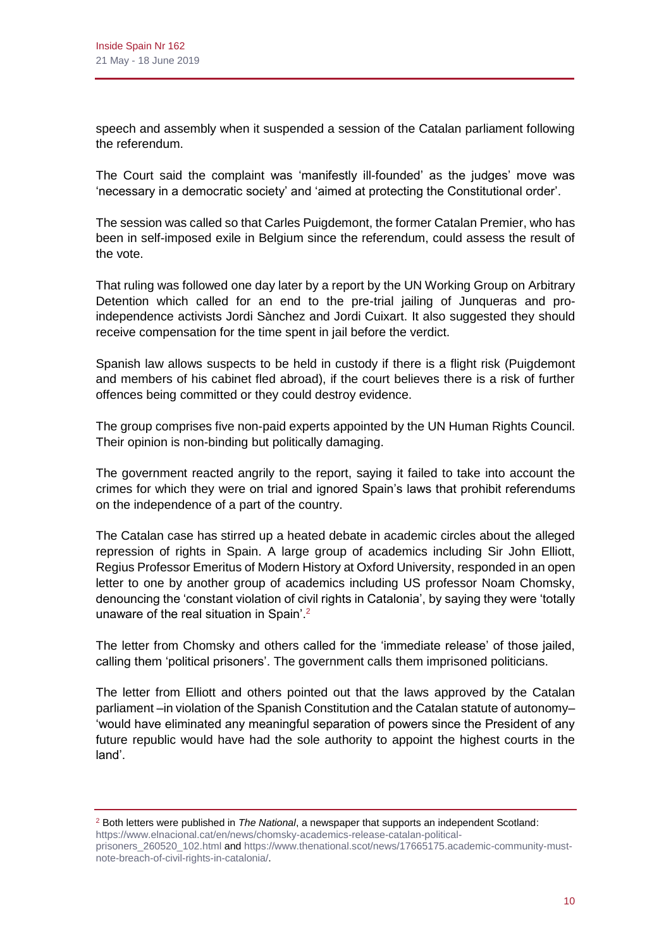speech and assembly when it suspended a session of the Catalan parliament following the referendum.

The Court said the complaint was 'manifestly ill-founded' as the judges' move was 'necessary in a democratic society' and 'aimed at protecting the Constitutional order'.

The session was called so that Carles Puigdemont, the former Catalan Premier, who has been in self-imposed exile in Belgium since the referendum, could assess the result of the vote.

That ruling was followed one day later by a report by the UN Working Group on Arbitrary Detention which called for an end to the pre-trial jailing of Junqueras and proindependence activists Jordi Sànchez and Jordi Cuixart. It also suggested they should receive compensation for the time spent in jail before the verdict.

Spanish law allows suspects to be held in custody if there is a flight risk (Puigdemont and members of his cabinet fled abroad), if the court believes there is a risk of further offences being committed or they could destroy evidence.

The group comprises five non-paid experts appointed by the UN Human Rights Council. Their opinion is non-binding but politically damaging.

The government reacted angrily to the report, saying it failed to take into account the crimes for which they were on trial and ignored Spain's laws that prohibit referendums on the independence of a part of the country.

The Catalan case has stirred up a heated debate in academic circles about the alleged repression of rights in Spain. A large group of academics including Sir John Elliott, Regius Professor Emeritus of Modern History at Oxford University, responded in an open letter to one by another group of academics including US professor Noam Chomsky, denouncing the 'constant violation of civil rights in Catalonia', by saying they were 'totally unaware of the real situation in Spain'.<sup>2</sup>

The letter from Chomsky and others called for the 'immediate release' of those jailed, calling them 'political prisoners'. The government calls them imprisoned politicians.

The letter from Elliott and others pointed out that the laws approved by the Catalan parliament –in violation of the Spanish Constitution and the Catalan statute of autonomy– 'would have eliminated any meaningful separation of powers since the President of any future republic would have had the sole authority to appoint the highest courts in the land'.

<sup>2</sup> Both letters were published in *The National*, a newspaper that supports an independent Scotland: [https://www.elnacional.cat/en/news/chomsky-academics-release-catalan-political-](https://www.elnacional.cat/en/news/chomsky-academics-release-catalan-political-prisoners_260520_102.html)

[prisoners\\_260520\\_102.html](https://www.elnacional.cat/en/news/chomsky-academics-release-catalan-political-prisoners_260520_102.html) an[d https://www.thenational.scot/news/17665175.academic-community-must](https://www.thenational.scot/news/17665175.academic-community-must-note-breach-of-civil-rights-in-catalonia/)[note-breach-of-civil-rights-in-catalonia/.](https://www.thenational.scot/news/17665175.academic-community-must-note-breach-of-civil-rights-in-catalonia/)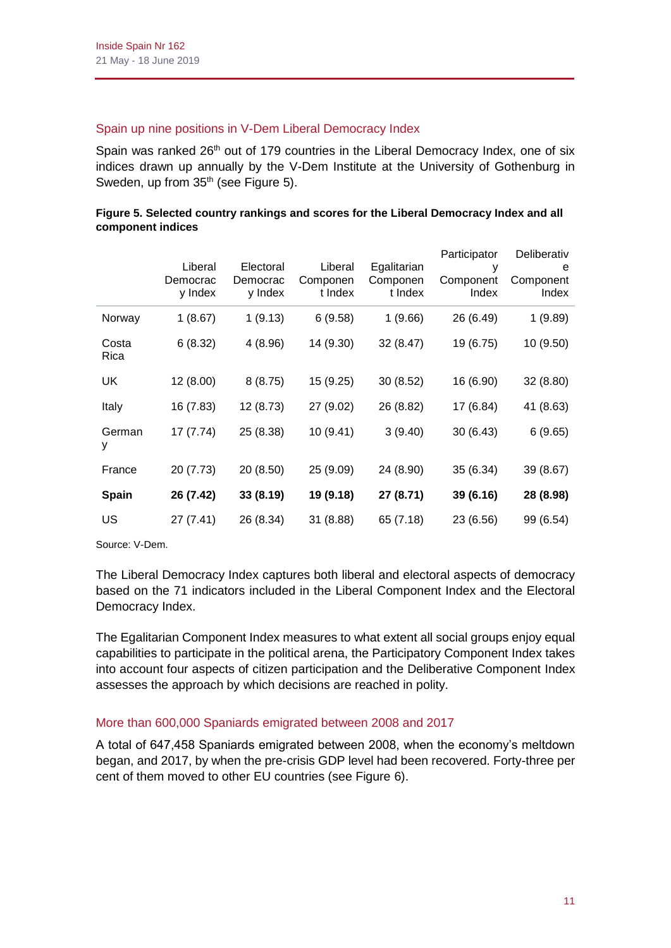## Spain up nine positions in V-Dem Liberal Democracy Index

Spain was ranked 26<sup>th</sup> out of 179 countries in the Liberal Democracy Index, one of six indices drawn up annually by the V-Dem Institute at the University of Gothenburg in Sweden, up from 35<sup>th</sup> (see Figure 5).

| Figure 5. Selected country rankings and scores for the Liberal Democracy Index and all |  |
|----------------------------------------------------------------------------------------|--|
| component indices                                                                      |  |

|               |           |           |           |             | Participator | Deliberativ |
|---------------|-----------|-----------|-----------|-------------|--------------|-------------|
|               | Liberal   | Electoral | Liberal   | Egalitarian | у            | е           |
|               | Democrac  | Democrac  | Componen  | Componen    | Component    | Component   |
|               | y Index   | y Index   | t Index   | t Index     | Index        | Index       |
| Norway        | 1(8.67)   | 1(9.13)   | 6(9.58)   | 1(9.66)     | 26 (6.49)    | 1(9.89)     |
| Costa<br>Rica | 6(8.32)   | 4(8.96)   | 14 (9.30) | 32 (8.47)   | 19 (6.75)    | 10 (9.50)   |
| UK            | 12 (8.00) | 8(8.75)   | 15 (9.25) | 30(8.52)    | 16 (6.90)    | 32(8.80)    |
| Italy         | 16 (7.83) | 12 (8.73) | 27 (9.02) | 26 (8.82)   | 17 (6.84)    | 41 (8.63)   |
| German<br>у   | 17 (7.74) | 25 (8.38) | 10 (9.41) | 3(9.40)     | 30(6.43)     | 6(9.65)     |
| France        | 20 (7.73) | 20 (8.50) | 25 (9.09) | 24 (8.90)   | 35 (6.34)    | 39 (8.67)   |
| Spain         | 26 (7.42) | 33 (8.19) | 19 (9.18) | 27 (8.71)   | 39 (6.16)    | 28 (8.98)   |
| US            | 27 (7.41) | 26 (8.34) | 31 (8.88) | 65 (7.18)   | 23 (6.56)    | 99 (6.54)   |

Source: V-Dem.

The Liberal Democracy Index captures both liberal and electoral aspects of democracy based on the 71 indicators included in the Liberal Component Index and the Electoral Democracy Index.

The Egalitarian Component Index measures to what extent all social groups enjoy equal capabilities to participate in the political arena, the Participatory Component Index takes into account four aspects of citizen participation and the Deliberative Component Index assesses the approach by which decisions are reached in polity.

# More than 600,000 Spaniards emigrated between 2008 and 2017

A total of 647,458 Spaniards emigrated between 2008, when the economy's meltdown began, and 2017, by when the pre-crisis GDP level had been recovered. Forty-three per cent of them moved to other EU countries (see Figure 6).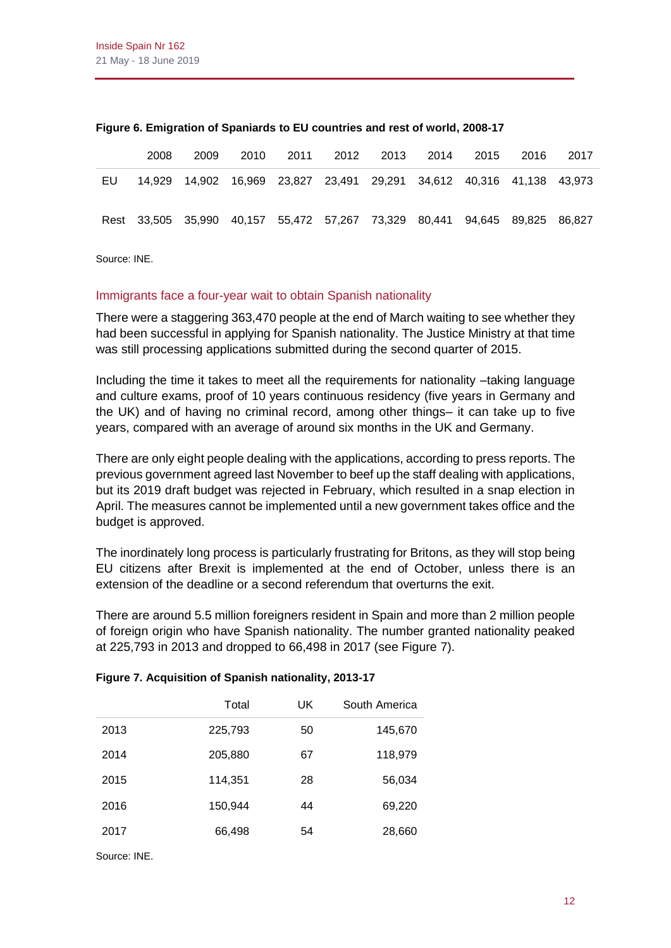|    | 2008 | 2009 |  |  | 2010 2011 2012 2013 2014 2015 2016                                         | - 2017 |
|----|------|------|--|--|----------------------------------------------------------------------------|--------|
| EU |      |      |  |  | 14,929 14,902 16,969 23,827 23,491 29,291 34,612 40,316 41,138 43,973      |        |
|    |      |      |  |  | Rest 33,505 35,990 40,157 55,472 57,267 73,329 80,441 94,645 89,825 86,827 |        |

#### **Figure 6. Emigration of Spaniards to EU countries and rest of world, 2008-17**

Source: INE.

#### Immigrants face a four-year wait to obtain Spanish nationality

There were a staggering 363,470 people at the end of March waiting to see whether they had been successful in applying for Spanish nationality. The Justice Ministry at that time was still processing applications submitted during the second quarter of 2015.

Including the time it takes to meet all the requirements for nationality –taking language and culture exams, proof of 10 years continuous residency (five years in Germany and the UK) and of having no criminal record, among other things– it can take up to five years, compared with an average of around six months in the UK and Germany.

There are only eight people dealing with the applications, according to press reports. The previous government agreed last November to beef up the staff dealing with applications, but its 2019 draft budget was rejected in February, which resulted in a snap election in April. The measures cannot be implemented until a new government takes office and the budget is approved.

The inordinately long process is particularly frustrating for Britons, as they will stop being EU citizens after Brexit is implemented at the end of October, unless there is an extension of the deadline or a second referendum that overturns the exit.

There are around 5.5 million foreigners resident in Spain and more than 2 million people of foreign origin who have Spanish nationality. The number granted nationality peaked at 225,793 in 2013 and dropped to 66,498 in 2017 (see Figure 7).

|      | Total   | UK | South America |
|------|---------|----|---------------|
| 2013 | 225,793 | 50 | 145,670       |
| 2014 | 205,880 | 67 | 118,979       |
| 2015 | 114,351 | 28 | 56,034        |
| 2016 | 150,944 | 44 | 69,220        |
| 2017 | 66,498  | 54 | 28,660        |
|      |         |    |               |

#### **Figure 7. Acquisition of Spanish nationality, 2013-17**

Source: INE.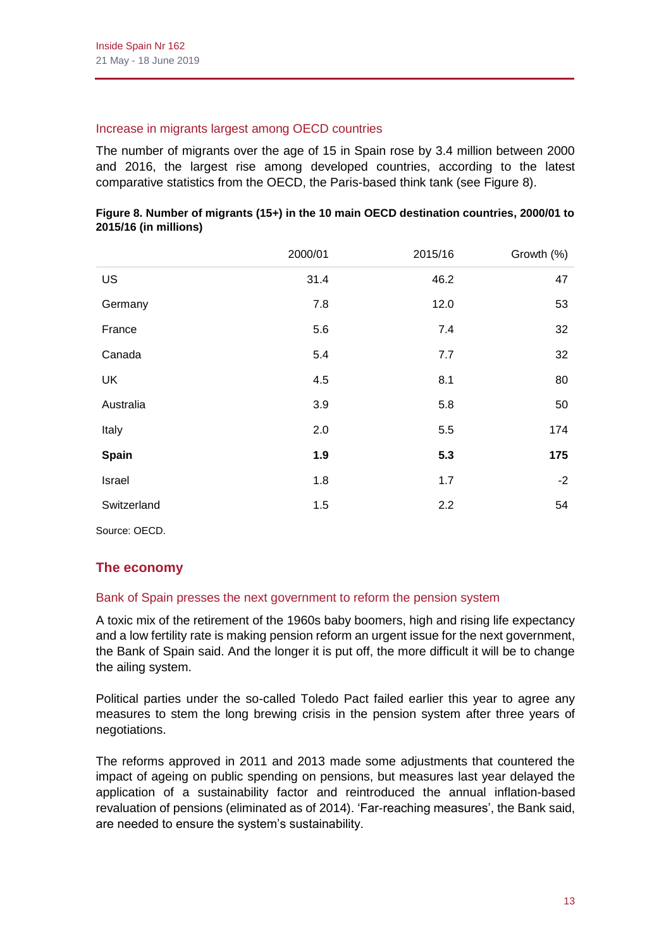#### Increase in migrants largest among OECD countries

The number of migrants over the age of 15 in Spain rose by 3.4 million between 2000 and 2016, the largest rise among developed countries, according to the latest comparative statistics from the OECD, the Paris-based think tank (see Figure 8).

|             | 2000/01 | 2015/16 | Growth (%) |
|-------------|---------|---------|------------|
| US          | 31.4    | 46.2    | 47         |
| Germany     | 7.8     | 12.0    | 53         |
| France      | 5.6     | 7.4     | 32         |
| Canada      | 5.4     | 7.7     | 32         |
| UK          | 4.5     | 8.1     | 80         |
| Australia   | 3.9     | 5.8     | 50         |
| Italy       | 2.0     | 5.5     | 174        |
| Spain       | 1.9     | 5.3     | 175        |
| Israel      | 1.8     | 1.7     | $-2$       |
| Switzerland | 1.5     | 2.2     | 54         |

|                       |  | Figure 8. Number of migrants (15+) in the 10 main OECD destination countries, 2000/01 to |  |
|-----------------------|--|------------------------------------------------------------------------------------------|--|
| 2015/16 (in millions) |  |                                                                                          |  |

Source: OECD.

# **The economy**

# Bank of Spain presses the next government to reform the pension system

A toxic mix of the retirement of the 1960s baby boomers, high and rising life expectancy and a low fertility rate is making pension reform an urgent issue for the next government, the Bank of Spain said. And the longer it is put off, the more difficult it will be to change the ailing system.

Political parties under the so-called Toledo Pact failed earlier this year to agree any measures to stem the long brewing crisis in the pension system after three years of negotiations.

The reforms approved in 2011 and 2013 made some adjustments that countered the impact of ageing on public spending on pensions, but measures last year delayed the application of a sustainability factor and reintroduced the annual inflation-based revaluation of pensions (eliminated as of 2014). 'Far-reaching measures', the Bank said, are needed to ensure the system's sustainability.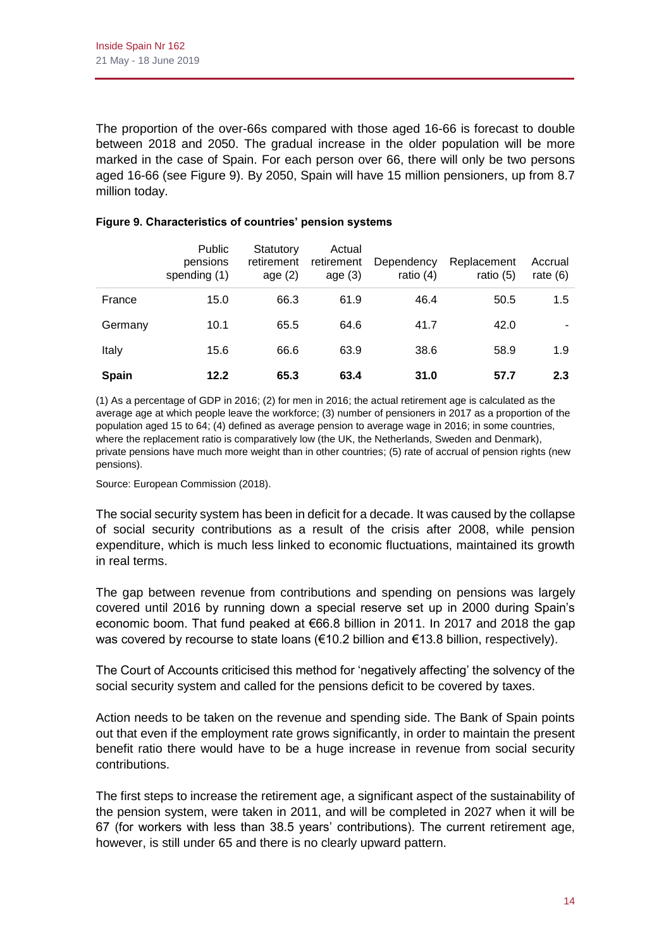The proportion of the over-66s compared with those aged 16-66 is forecast to double between 2018 and 2050. The gradual increase in the older population will be more marked in the case of Spain. For each person over 66, there will only be two persons aged 16-66 (see Figure 9). By 2050, Spain will have 15 million pensioners, up from 8.7 million today.

|              | Public<br>pensions<br>spending (1) | Statutory<br>retirement<br>age $(2)$ | Actual<br>retirement<br>age $(3)$ | Dependency<br>ratio $(4)$ | Replacement<br>ratio $(5)$ | Accrual<br>rate $(6)$ |
|--------------|------------------------------------|--------------------------------------|-----------------------------------|---------------------------|----------------------------|-----------------------|
| France       | 15.0                               | 66.3                                 | 61.9                              | 46.4                      | 50.5                       | 1.5                   |
| Germany      | 10.1                               | 65.5                                 | 64.6                              | 41.7                      | 42.0                       |                       |
| Italy        | 15.6                               | 66.6                                 | 63.9                              | 38.6                      | 58.9                       | 1.9                   |
| <b>Spain</b> | 12.2                               | 65.3                                 | 63.4                              | 31.0                      | 57.7                       | 2.3                   |

## **Figure 9. Characteristics of countries' pension systems**

(1) As a percentage of GDP in 2016; (2) for men in 2016; the actual retirement age is calculated as the average age at which people leave the workforce; (3) number of pensioners in 2017 as a proportion of the population aged 15 to 64; (4) defined as average pension to average wage in 2016; in some countries, where the replacement ratio is comparatively low (the UK, the Netherlands, Sweden and Denmark), private pensions have much more weight than in other countries; (5) rate of accrual of pension rights (new pensions).

Source: European Commission (2018).

The social security system has been in deficit for a decade. It was caused by the collapse of social security contributions as a result of the crisis after 2008, while pension expenditure, which is much less linked to economic fluctuations, maintained its growth in real terms.

The gap between revenue from contributions and spending on pensions was largely covered until 2016 by running down a special reserve set up in 2000 during Spain's economic boom. That fund peaked at €66.8 billion in 2011. In 2017 and 2018 the gap was covered by recourse to state loans (€10.2 billion and €13.8 billion, respectively).

The Court of Accounts criticised this method for 'negatively affecting' the solvency of the social security system and called for the pensions deficit to be covered by taxes.

Action needs to be taken on the revenue and spending side. The Bank of Spain points out that even if the employment rate grows significantly, in order to maintain the present benefit ratio there would have to be a huge increase in revenue from social security contributions.

The first steps to increase the retirement age, a significant aspect of the sustainability of the pension system, were taken in 2011, and will be completed in 2027 when it will be 67 (for workers with less than 38.5 years' contributions). The current retirement age, however, is still under 65 and there is no clearly upward pattern.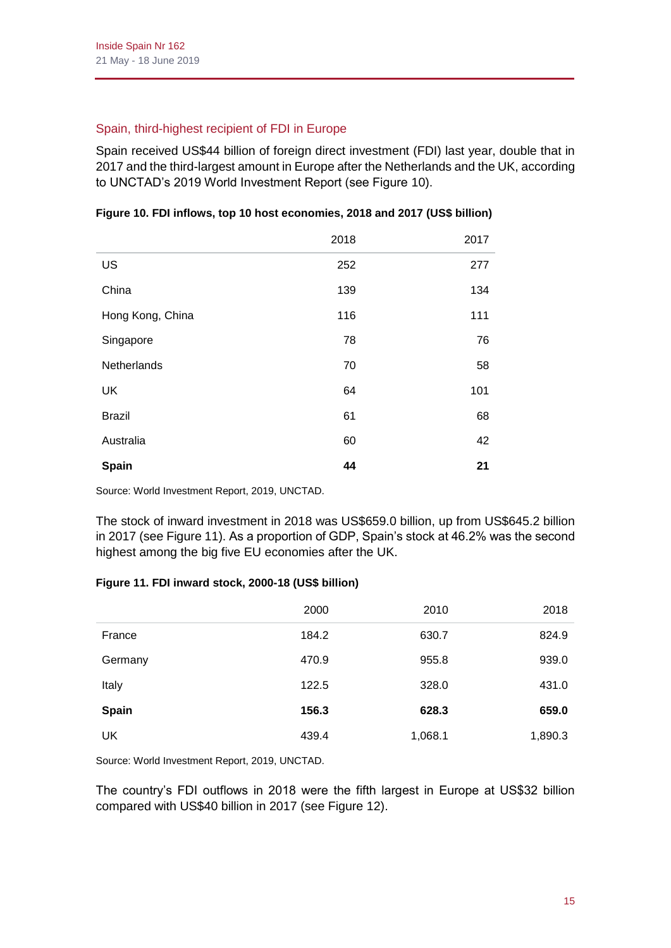# Spain, third-highest recipient of FDI in Europe

Spain received US\$44 billion of foreign direct investment (FDI) last year, double that in 2017 and the third-largest amount in Europe after the Netherlands and the UK, according to UNCTAD's 2019 World Investment Report (see Figure 10).

|                  | 2018 | 2017 |
|------------------|------|------|
| US               | 252  | 277  |
| China            | 139  | 134  |
| Hong Kong, China | 116  | 111  |
| Singapore        | 78   | 76   |
| Netherlands      | 70   | 58   |
| <b>UK</b>        | 64   | 101  |
| <b>Brazil</b>    | 61   | 68   |
| Australia        | 60   | 42   |
| Spain            | 44   | 21   |

# **Figure 10. FDI inflows, top 10 host economies, 2018 and 2017 (US\$ billion)**

Source: World Investment Report, 2019, UNCTAD.

The stock of inward investment in 2018 was US\$659.0 billion, up from US\$645.2 billion in 2017 (see Figure 11). As a proportion of GDP, Spain's stock at 46.2% was the second highest among the big five EU economies after the UK.

# **Figure 11. FDI inward stock, 2000-18 (US\$ billion)**

|              | 2000  | 2010    | 2018    |
|--------------|-------|---------|---------|
| France       | 184.2 | 630.7   | 824.9   |
| Germany      | 470.9 | 955.8   | 939.0   |
| Italy        | 122.5 | 328.0   | 431.0   |
| <b>Spain</b> | 156.3 | 628.3   | 659.0   |
| UK           | 439.4 | 1,068.1 | 1,890.3 |

Source: World Investment Report, 2019, UNCTAD.

The country's FDI outflows in 2018 were the fifth largest in Europe at US\$32 billion compared with US\$40 billion in 2017 (see Figure 12).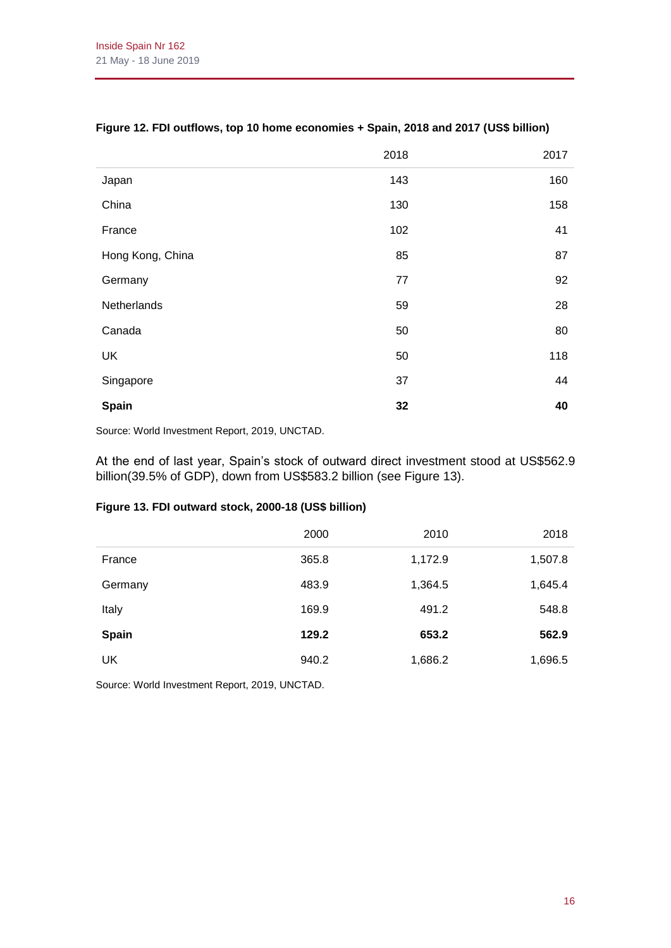|                  | 2018 | 2017 |
|------------------|------|------|
| Japan            | 143  | 160  |
| China            | 130  | 158  |
| France           | 102  | 41   |
| Hong Kong, China | 85   | 87   |
| Germany          | 77   | 92   |
| Netherlands      | 59   | 28   |
| Canada           | 50   | 80   |
| UK               | 50   | 118  |
| Singapore        | 37   | 44   |
| Spain            | 32   | 40   |

## **Figure 12. FDI outflows, top 10 home economies + Spain, 2018 and 2017 (US\$ billion)**

Source: World Investment Report, 2019, UNCTAD.

At the end of last year, Spain's stock of outward direct investment stood at US\$562.9 billion(39.5% of GDP), down from US\$583.2 billion (see Figure 13).

#### **Figure 13. FDI outward stock, 2000-18 (US\$ billion)**

|              | 2000  | 2010    | 2018    |
|--------------|-------|---------|---------|
| France       | 365.8 | 1,172.9 | 1,507.8 |
| Germany      | 483.9 | 1,364.5 | 1,645.4 |
| Italy        | 169.9 | 491.2   | 548.8   |
| <b>Spain</b> | 129.2 | 653.2   | 562.9   |
| UK           | 940.2 | 1,686.2 | 1,696.5 |

Source: World Investment Report, 2019, UNCTAD.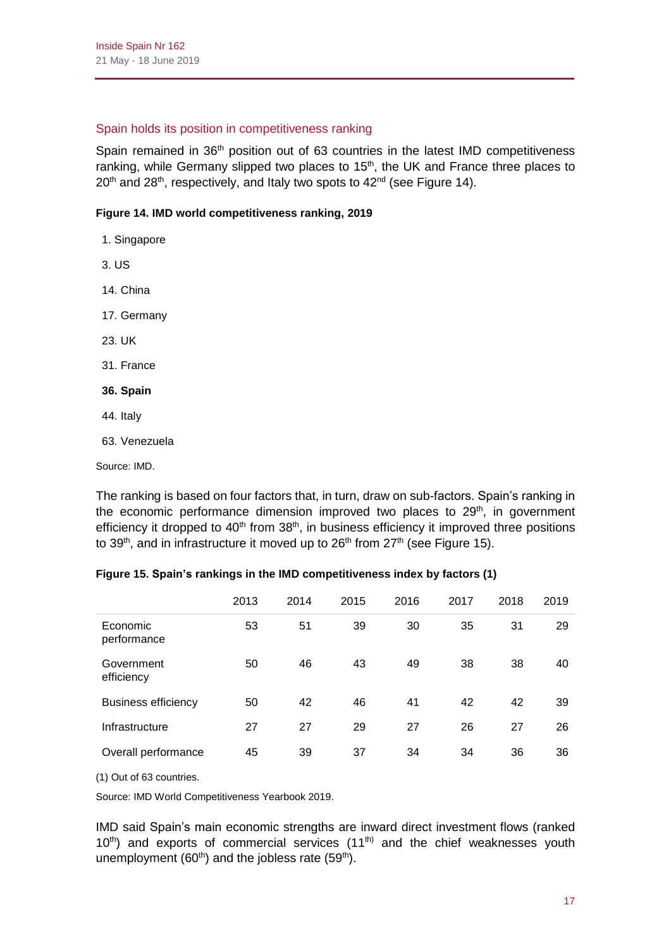# Spain holds its position in competitiveness ranking

Spain remained in 36<sup>th</sup> position out of 63 countries in the latest IMD competitiveness ranking, while Germany slipped two places to  $15<sup>th</sup>$ , the UK and France three places to  $20<sup>th</sup>$  and  $28<sup>th</sup>$ , respectively, and Italy two spots to  $42<sup>nd</sup>$  (see Figure 14).

# **Figure 14. IMD world competitiveness ranking, 2019**

- 1. Singapore
- 3. US
- 14. China
- 17. Germany
- 23. UK
- 31. France
- **36. Spain**
- 44. Italy
- 63. Venezuela

Source: IMD.

The ranking is based on four factors that, in turn, draw on sub-factors. Spain's ranking in the economic performance dimension improved two places to  $29<sup>th</sup>$ , in government efficiency it dropped to  $40<sup>th</sup>$  from  $38<sup>th</sup>$ , in business efficiency it improved three positions to 39<sup>th</sup>, and in infrastructure it moved up to 26<sup>th</sup> from 27<sup>th</sup> (see Figure 15).

# **Figure 15. Spain's rankings in the IMD competitiveness index by factors (1)**

|                            | 2013 | 2014 | 2015 | 2016 | 2017 | 2018 | 2019 |
|----------------------------|------|------|------|------|------|------|------|
| Economic<br>performance    | 53   | 51   | 39   | 30   | 35   | 31   | 29   |
| Government<br>efficiency   | 50   | 46   | 43   | 49   | 38   | 38   | 40   |
| <b>Business efficiency</b> | 50   | 42   | 46   | 41   | 42   | 42   | 39   |
| Infrastructure             | 27   | 27   | 29   | 27   | 26   | 27   | 26   |
| Overall performance        | 45   | 39   | 37   | 34   | 34   | 36   | 36   |

(1) Out of 63 countries.

Source: IMD World Competitiveness Yearbook 2019.

IMD said Spain's main economic strengths are inward direct investment flows (ranked  $10<sup>th</sup>$ ) and exports of commercial services  $(11<sup>th</sup>)$  and the chief weaknesses youth unemployment (60<sup>th</sup>) and the jobless rate (59<sup>th</sup>).